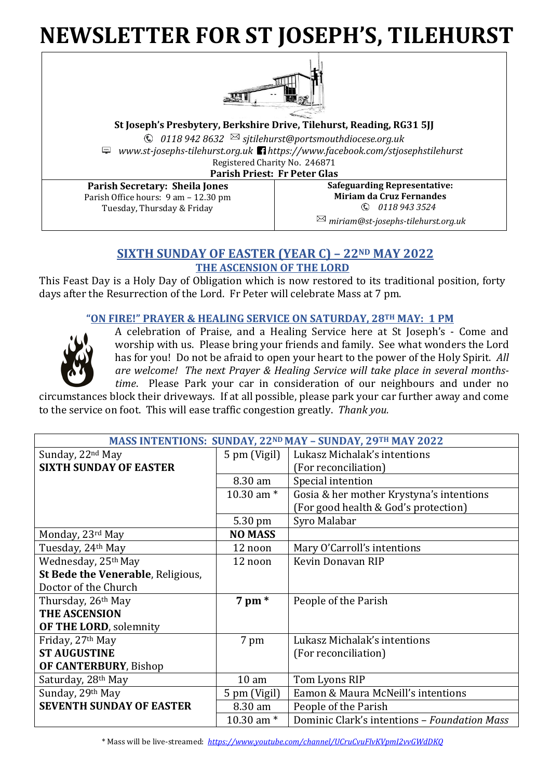# **NEWSLETTER FOR ST JOSEPH'S, TILEHURST**



**St Joseph's Presbytery, Berkshire Drive, Tilehurst, Reading, RG31 5JJ** *0118 942 8632 sjtilehurst@portsmouthdiocese.org.uk www.st-josephs-tilehurst.org.uk https://www.facebook.com/stjosephstilehurst* Registered Charity No. 246871 **Parish Priest: Fr Peter Glas**

**Parish Secretary: Sheila Jones** Parish Office hours: 9 am – 12.30 pm Tuesday, Thursday & Friday

**Safeguarding Representative: Miriam da Cruz Fernandes** *0118 943 3524 miriam@st-josephs-tilehurst.org.uk*

# **SIXTH SUNDAY OF EASTER (YEAR C) – 22ND MAY 2022 THE ASCENSION OF THE LORD**

This Feast Day is a Holy Day of Obligation which is now restored to its traditional position, forty days after the Resurrection of the Lord. Fr Peter will celebrate Mass at 7 pm.

# **"ON FIRE!" PRAYER & HEALING SERVICE ON SATURDAY, 28TH MAY: 1 PM**



A celebration of Praise, and a Healing Service here at St Joseph's - Come and worship with us. Please bring your friends and family. See what wonders the Lord has for you! Do not be afraid to open your heart to the power of the Holy Spirit. *All are welcome! The next Prayer & Healing Service will take place in several monthstime*. Please Park your car in consideration of our neighbours and under no

circumstances block their driveways. If at all possible, please park your car further away and come to the service on foot. This will ease traffic congestion greatly. *Thank you.* 

| <b>MASS INTENTIONS: SUNDAY, 22ND MAY - SUNDAY, 29TH MAY 2022</b> |                  |                                              |
|------------------------------------------------------------------|------------------|----------------------------------------------|
| Sunday, 22 <sup>nd</sup> May                                     | 5 pm (Vigil)     | Lukasz Michalak's intentions                 |
| <b>SIXTH SUNDAY OF EASTER</b>                                    |                  | (For reconciliation)                         |
|                                                                  | 8.30 am          | Special intention                            |
|                                                                  | 10.30 am $*$     | Gosia & her mother Krystyna's intentions     |
|                                                                  |                  | (For good health & God's protection)         |
|                                                                  | 5.30 pm          | Syro Malabar                                 |
| Monday, 23rd May                                                 | <b>NO MASS</b>   |                                              |
| Tuesday, 24th May                                                | 12 noon          | Mary O'Carroll's intentions                  |
| Wednesday, 25th May                                              | 12 noon          | Kevin Donavan RIP                            |
| St Bede the Venerable, Religious,                                |                  |                                              |
| Doctor of the Church                                             |                  |                                              |
| Thursday, 26 <sup>th</sup> May                                   | $7 \text{ pm}$ * | People of the Parish                         |
| <b>THE ASCENSION</b>                                             |                  |                                              |
| OF THE LORD, solemnity                                           |                  |                                              |
| Friday, 27th May                                                 | 7 pm             | Lukasz Michalak's intentions                 |
| <b>ST AUGUSTINE</b>                                              |                  | (For reconciliation)                         |
| OF CANTERBURY, Bishop                                            |                  |                                              |
| Saturday, 28 <sup>th</sup> May                                   | 10 <sub>am</sub> | Tom Lyons RIP                                |
| Sunday, 29th May                                                 | 5 pm (Vigil)     | Eamon & Maura McNeill's intentions           |
| <b>SEVENTH SUNDAY OF EASTER</b>                                  | 8.30 am          | People of the Parish                         |
|                                                                  | 10.30 am $*$     | Dominic Clark's intentions - Foundation Mass |

\* Mass will be live-streamed: *<https://www.youtube.com/channel/UCruCvuFlvKVpmI2vvGWdDKQ>*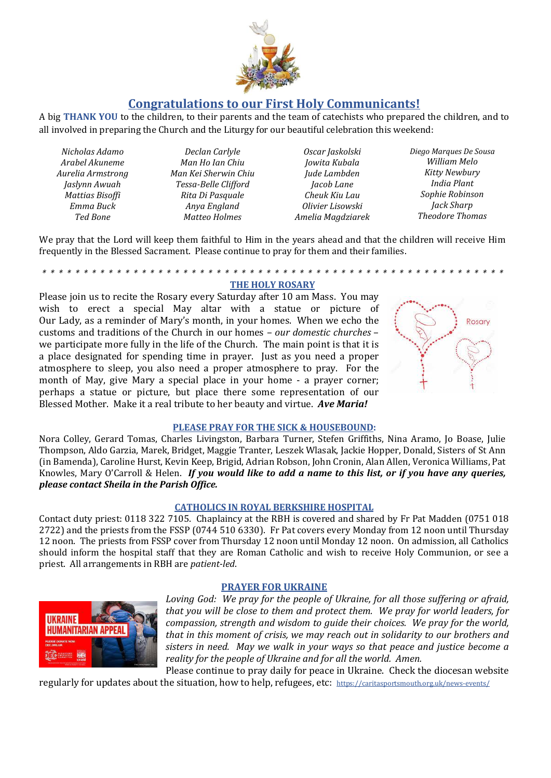

# **Congratulations to our First Holy Communicants!**

A big **THANK YOU** to the children, to their parents and the team of catechists who prepared the children, and to all involved in preparing the Church and the Liturgy for our beautiful celebration this weekend:

*Nicholas Adamo Arabel Akuneme Aurelia Armstrong Jaslynn Awuah Mattias Bisoffi Emma Buck Ted Bone* 

*Declan Carlyle Man Ho Ian Chiu Man Kei Sherwin Chiu Tessa-Belle Clifford Rita Di Pasquale Anya England Matteo Holmes*

*Oscar Jaskolski Jowita Kubala Jude Lambden Jacob Lane Cheuk Kiu Lau Olivier Lisowski Amelia Magdziarek* *Diego Marques De Sousa William Melo Kitty Newbury India Plant Sophie Robinson Jack Sharp Theodore Thomas*

We pray that the Lord will keep them faithful to Him in the years ahead and that the children will receive Him frequently in the Blessed Sacrament. Please continue to pray for them and their families.

#### *\* \* \* \* \* \* \* \* \* \* \* \* \* \* \* \* \* \* \* \* \* \* \* \* \* \* \* \* \* \* \* \* \* \* \* \* \* \* \* \* \* \* \* \* \* \* \* \* \* \* \* \* \* \* \* \** **THE HOLY ROSARY**

Please join us to recite the Rosary every Saturday after 10 am Mass. You may wish to erect a special May altar with a statue or picture of Our Lady, as a reminder of Mary's month, in your homes. When we echo the customs and traditions of the Church in our homes – *our domestic churches* – we participate more fully in the life of the Church. The main point is that it is a place designated for spending time in prayer. Just as you need a proper atmosphere to sleep, you also need a proper atmosphere to pray. For the month of May, give Mary a special place in your home - a prayer corner; perhaps a statue or picture, but place there some representation of our Blessed Mother. Make it a real tribute to her beauty and virtue. *Ave Maria!*



### **PLEASE PRAY FOR THE SICK & HOUSEBOUND:**

Nora Colley, Gerard Tomas, Charles Livingston, Barbara Turner, Stefen Griffiths, Nina Aramo, Jo Boase, Julie Thompson, Aldo Garzia, Marek, Bridget, Maggie Tranter, Leszek Wlasak, Jackie Hopper, Donald, Sisters of St Ann (in Bamenda), Caroline Hurst, Kevin Keep, Brigid, Adrian Robson, John Cronin, Alan Allen, Veronica Williams, Pat Knowles, Mary O'Carroll & Helen. *If you would like to add a name to this list, or if you have any queries, please contact Sheila in the Parish Office.*

### **CATHOLICS IN ROYAL BERKSHIRE HOSPITAL**

Contact duty priest: 0118 322 7105. Chaplaincy at the RBH is covered and shared by Fr Pat Madden (0751 018 2722) and the priests from the FSSP (0744 510 6330). Fr Pat covers every Monday from 12 noon until Thursday 12 noon. The priests from FSSP cover from Thursday 12 noon until Monday 12 noon. On admission, all Catholics should inform the hospital staff that they are Roman Catholic and wish to receive Holy Communion, or see a priest. All arrangements in RBH are *patient-led*.

### **PRAYER FOR UKRAINE**



*Loving God: We pray for the people of Ukraine, for all those suffering or afraid, that you will be close to them and protect them. We pray for world leaders, for compassion, strength and wisdom to guide their choices. We pray for the world, that in this moment of crisis, we may reach out in solidarity to our brothers and sisters in need. May we walk in your ways so that peace and justice become a reality for the people of Ukraine and for all the world. Amen.* Please continue to pray daily for peace in Ukraine. Check the diocesan website

regularly for updates about the situation, how to help, refugees, etc: <https://caritasportsmouth.org.uk/news-events/>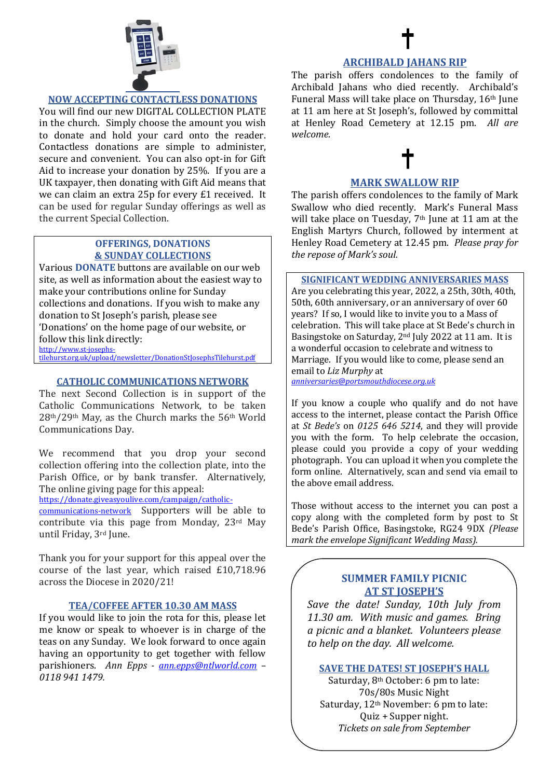

# **NOW ACCEPTING CONTACTLESS DONATIONS**

You will find our new DIGITAL COLLECTION PLATE in the church. Simply choose the amount you wish to donate and hold your card onto the reader. Contactless donations are simple to administer, secure and convenient. You can also opt-in for Gift Aid to increase your donation by 25%. If you are a UK taxpayer, then donating with Gift Aid means that we can claim an extra 25p for every £1 received. It can be used for regular Sunday offerings as well as the current Special Collection.

### **OFFERINGS, DONATIONS & SUNDAY COLLECTIONS**

Various **DONATE** buttons are available on our web site, as well as information about the easiest way to make your contributions online for Sunday collections and donations. If you wish to make any donation to St Joseph's parish, please see 'Donations' on the home page of our website, or follow this link directly: [http://www.st-josephs-](http://www.st-josephs-tilehurst.org.uk/upload/newsletter/DonationStJosephsTilehurst.pdf)

tilehurst.org.uk/upload/newsletter/DonationStlosephsTilehurst.pdf

### **CATHOLIC COMMUNICATIONS NETWORK**

The next Second Collection is in support of the Catholic Communications Network, to be taken 28th/29th May, as the Church marks the 56th World Communications Day.

We recommend that you drop your second collection offering into the collection plate, into the Parish Office, or by bank transfer. Alternatively, The online giving page for this appeal:

[https://donate.giveasyoulive.com/campaign/catholic-](https://donate.giveasyoulive.com/campaign/catholic-communications-network)

[communications-network](https://donate.giveasyoulive.com/campaign/catholic-communications-network) Supporters will be able to contribute via this page from Monday, 23rd May until Friday, 3rd June.

Thank you for your support for this appeal over the course of the last year, which raised £10,718.96 across the Diocese in 2020/21!

# **TEA/COFFEE AFTER 10.30 AM MASS**

If you would like to join the rota for this, please let me know or speak to whoever is in charge of the teas on any Sunday. We look forward to once again having an opportunity to get together with fellow parishioners. *Ann Epps - [ann.epps@ntlworld.com](mailto:ann.epps@ntlworld.com) – 0118 941 1479.*

### **ARCHIBALD JAHANS RIP**

The parish offers condolences to the family of Archibald Jahans who died recently. Archibald's Funeral Mass will take place on Thursday, 16th June at 11 am here at St Joseph's, followed by committal at Henley Road Cemetery at 12.15 pm. *All are welcome.*

# **MARK SWALLOW RIP**

The parish offers condolences to the family of Mark Swallow who died recently. Mark's Funeral Mass will take place on Tuesday, 7<sup>th</sup> June at 11 am at the English Martyrs Church, followed by interment at Henley Road Cemetery at 12.45 pm. *Please pray for the repose of Mark's soul.*

### **SIGNIFICANT WEDDING ANNIVERSARIES MASS**

Are you celebrating this year, 2022, a 25th, 30th, 40th, 50th, 60th anniversary, or an anniversary of over 60 years? If so, I would like to invite you to a Mass of celebration. This will take place at St Bede's church in Basingstoke on Saturday, 2nd July 2022 at 11 am. It is a wonderful occasion to celebrate and witness to Marriage. If you would like to come, please send an email to *Liz Murphy* at

*[anniversaries@portsmouthdiocese.org.uk](mailto:anniversaries@portsmouthdiocese.org.uk)*

If you know a couple who qualify and do not have access to the internet, please contact the Parish Office at *St Bede's* on *0125 646 5214*, and they will provide you with the form. To help celebrate the occasion, please could you provide a copy of your wedding photograph. You can upload it when you complete the form online. Alternatively, scan and send via email to the above email address.

Those without access to the internet you can post a copy along with the completed form by post to St Bede's Parish Office, Basingstoke, RG24 9DX *(Please mark the envelope Significant Wedding Mass).*

# **SUMMER FAMILY PICNIC AT ST JOSEPH'S**

*Save the date! Sunday, 10th July from 11.30 am. With music and games. Bring a picnic and a blanket. Volunteers please to help on the day. All welcome.*

# **SAVE THE DATES! ST JOSEPH'S HALL**

Saturday, 8th October: 6 pm to late: 70s/80s Music Night Saturday, 12th November: 6 pm to late: Quiz + Supper night. *Tickets on sale from September*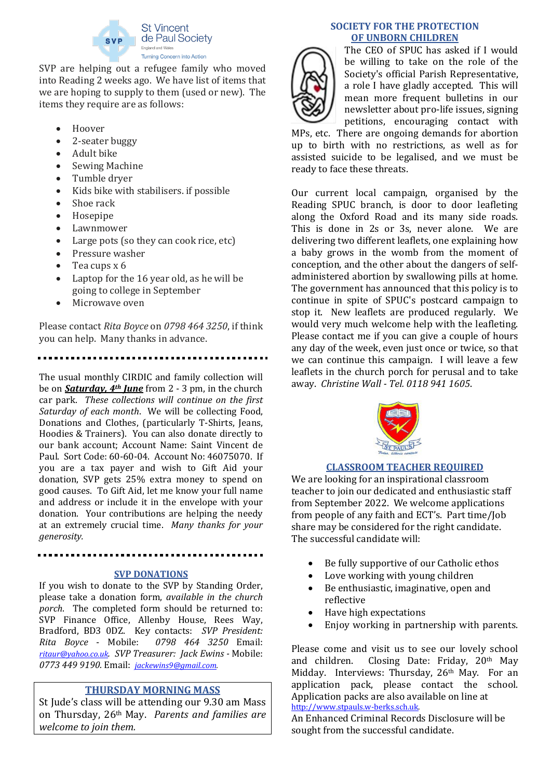

SVP are helping out a refugee family who moved into Reading 2 weeks ago. We have list of items that we are hoping to supply to them (used or new). The items they require are as follows:

- Hoover
- 2-seater buggy
- Adult bike
- Sewing Machine
- Tumble dryer
- Kids bike with stabilisers. if possible
- Shoe rack
- Hosepipe
- **Lawnmower**
- Large pots (so they can cook rice, etc)
- Pressure washer
- Tea cups x 6
- Laptop for the 16 year old, as he will be going to college in September
- Microwave oven

Please contact *Rita Boyce* on *0798 464 3250*, if think you can help. Many thanks in advance.

The usual monthly CIRDIC and family collection will be on *Saturday, 4th June* from 2 - 3 pm, in the church car park. *These collections will continue on the first Saturday of each month*. We will be collecting Food, Donations and Clothes, (particularly T-Shirts, Jeans, Hoodies & Trainers). You can also donate directly to our bank account; Account Name: Saint Vincent de Paul. Sort Code: 60-60-04. Account No: 46075070. If you are a tax payer and wish to Gift Aid your donation, SVP gets 25% extra money to spend on good causes. To Gift Aid, let me know your full name and address or include it in the envelope with your donation. Your contributions are helping the needy at an extremely crucial time. *Many thanks for your generosity.*

### **SVP DONATIONS**

If you wish to donate to the SVP by Standing Order, please take a donation form, *available in the church porch*. The completed form should be returned to: SVP Finance Office, Allenby House, Rees Way, Bradford, BD3 0DZ. Key contacts: *SVP President: Rita Boyce* - Mobile: *[ritaur@yahoo.co.uk](mailto:ritaur@yahoo.co.uk). SVP Treasurer: Jack Ewins -* Mobile: *0773 449 9190.* Email: *[jackewins9@gmail.com.](mailto:jackewins9@gmail.com)*

# **THURSDAY MORNING MASS**

St Jude's class will be attending our 9.30 am Mass on Thursday, 26th May. *Parents and families are welcome to join them.*

### **SOCIETY FOR THE PROTECTION OF UNBORN CHILDREN**



The CEO of SPUC has asked if I would be willing to take on the role of the Society's official Parish Representative, a role I have gladly accepted. This will mean more frequent bulletins in our newsletter about pro-life issues, signing petitions, encouraging contact with

MPs, etc. There are ongoing demands for abortion up to birth with no restrictions, as well as for assisted suicide to be legalised, and we must be ready to face these threats.

Our current local campaign, organised by the Reading SPUC branch, is door to door leafleting along the Oxford Road and its many side roads. This is done in 2s or 3s, never alone. We are delivering two different leaflets, one explaining how a baby grows in the womb from the moment of conception, and the other about the dangers of selfadministered abortion by swallowing pills at home. The government has announced that this policy is to continue in spite of SPUC's postcard campaign to stop it. New leaflets are produced regularly. We would very much welcome help with the leafleting. Please contact me if you can give a couple of hours any day of the week, even just once or twice, so that we can continue this campaign. I will leave a few leaflets in the church porch for perusal and to take away. *Christine Wall - Tel. 0118 941 1605*.



# **CLASSROOM TEACHER REQUIRED**

We are looking for an inspirational classroom teacher to join our dedicated and enthusiastic staff from September 2022. We welcome applications from people of any faith and ECT's. Part time/Job share may be considered for the right candidate. The successful candidate will:

- Be fully supportive of our Catholic ethos
- Love working with young children
- Be enthusiastic, imaginative, open and reflective
- Have high expectations
- Enjoy working in partnership with parents.

Please come and visit us to see our lovely school and children. Closing Date: Friday, 20th May Midday. Interviews: Thursday, 26<sup>th</sup> May. For an application pack, please contact the school. Application packs are also available on line at [http://www.stpauls.w-berks.sch.uk.](http://www.stpauls.w-berks.sch.uk/)

An Enhanced Criminal Records Disclosure will be sought from the successful candidate.